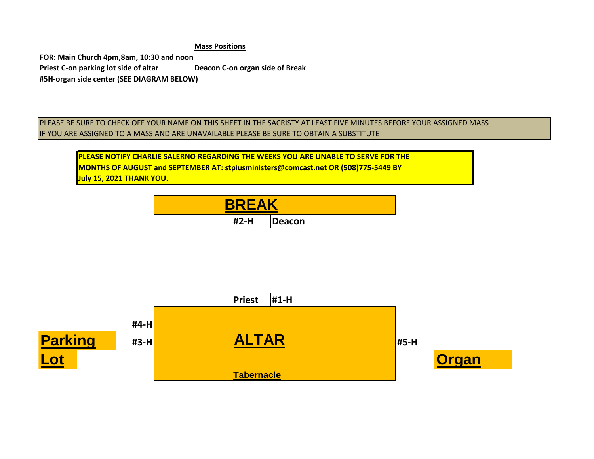**Mass Positions**

**FOR: Main Church 4pm,8am, 10:30 and noon Priest C-on parking lot side of altar Deacon C-on organ side of Break #5H-organ side center (SEE DIAGRAM BELOW)**

PLEASE BE SURE TO CHECK OFF YOUR NAME ON THIS SHEET IN THE SACRISTY AT LEAST FIVE MINUTES BEFORE YOUR ASSIGNED MASS IF YOU ARE ASSIGNED TO A MASS AND ARE UNAVAILABLE PLEASE BE SURE TO OBTAIN A SUBSTITUTE

**PLEASE NOTIFY CHARLIE SALERNO REGARDING THE WEEKS YOU ARE UNABLE TO SERVE FOR THE MONTHS OF AUGUST and SEPTEMBER AT: stpiusministers@comcast.net OR (508)775-5449 BY July 15, 2021 THANK YOU.**



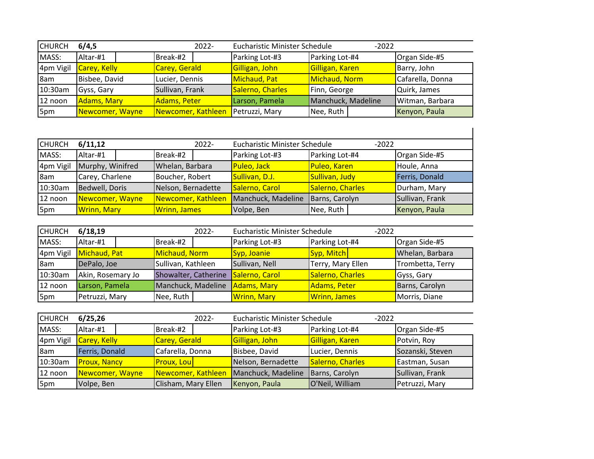| <b>CHURCH</b> | 6/4,5               | $2022 -$           | <b>Eucharistic Minister Schedule</b> | $-2022$            |                  |
|---------------|---------------------|--------------------|--------------------------------------|--------------------|------------------|
| MASS:         | Altar-#1            | Break-#2           | Parking Lot-#3                       | Parking Lot-#4     | Organ Side-#5    |
| 4pm Vigil     | <b>Carey, Kelly</b> | Carey, Gerald      | Gilligan, John                       | Gilligan, Karen    | Barry, John      |
| 8am           | Bisbee, David       | Lucier, Dennis     | Michaud, Pat                         | Michaud, Norm      | Cafarella, Donna |
| 10:30am       | Gyss, Gary          | Sullivan, Frank    | Salerno, Charles                     | Finn, George       | Quirk, James     |
| 12 noon       | Adams, Mary         | Adams, Peter       | Larson, Pamela                       | Manchuck, Madeline | Witman, Barbara  |
| 5pm           | Newcomer, Wayne     | Newcomer, Kathleen | Petruzzi, Mary                       | Nee, Ruth          | Kenyon, Paula    |

| <b>CHURCH</b> | 6/11,12            | $2022 -$            | <b>Eucharistic Minister Schedule</b> | $-2022$          |                 |
|---------------|--------------------|---------------------|--------------------------------------|------------------|-----------------|
| MASS:         | Altar-#1           | Break-#2            | Parking Lot-#3                       | Parking Lot-#4   | Organ Side-#5   |
| 4pm Vigil     | Murphy, Winifred   | Whelan, Barbara     | Puleo, Jack                          | Puleo, Karen     | Houle, Anna     |
| 8am           | Carey, Charlene    | Boucher, Robert     | Sullivan, D.J.                       | Sullivan, Judy   | Ferris, Donald  |
| 10:30am       | Bedwell, Doris     | Nelson, Bernadette  | Salerno, Carol                       | Salerno, Charles | Durham, Mary    |
| 12 noon       | Newcomer, Wayne    | Newcomer, Kathleen  | Manchuck, Madeline                   | Barns, Carolyn   | Sullivan, Frank |
| 5pm           | <b>Wrinn, Mary</b> | <b>Wrinn, James</b> | Volpe, Ben                           | Nee, Ruth        | Kenyon, Paula   |

| <b>CHURCH</b> | 6/18,19           | $2022 -$                            | <b>Eucharistic Minister Schedule</b> | $-2022$             |                  |
|---------------|-------------------|-------------------------------------|--------------------------------------|---------------------|------------------|
| MASS:         | Altar-#1          | Break-#2                            | Parking Lot-#3                       | Parking Lot-#4      | Organ Side-#5    |
| 4pm Vigil     | Michaud, Pat      | Michaud, Norm                       | Syp, Joanie                          | Syp, Mitch          | Whelan, Barbara  |
| 8am           | DePalo, Joe       | Sullivan, Kathleen                  | Sullivan, Nell                       | Terry, Mary Ellen   | Trombetta, Terry |
| 10:30am       | Akin, Rosemary Jo | Showalter, Catherine Salerno, Carol |                                      | Salerno, Charles    | Gyss, Gary       |
| 12 noon       | Larson, Pamela    | Manchuck, Madeline                  | Adams, Mary                          | Adams, Peter        | Barns, Carolyn   |
| 5pm           | Petruzzi, Mary    | Nee, Ruth                           | <b>Wrinn, Mary</b>                   | <b>Wrinn, James</b> | Morris, Diane    |

| <b>CHURCH</b> | 6/25,26             | $2022 -$                              | <b>Eucharistic Minister Schedule</b> | $-2022$          |                  |
|---------------|---------------------|---------------------------------------|--------------------------------------|------------------|------------------|
| MASS:         | Altar-#1            | Break-#2                              | Parking Lot-#3                       | Parking Lot-#4   | Organ Side-#5    |
| 4pm Vigil     | Carey, Kelly        | Carey, Gerald                         | Gilligan, John                       | Gilligan, Karen  | Potvin, Roy      |
| 8am           | Ferris, Donald      | Cafarella, Donna                      | Bisbee, David                        | Lucier, Dennis   | Sozanski, Steven |
| 10:30am       | <b>Proux, Nancy</b> | <b>Proux, Lou</b>                     | Nelson, Bernadette                   | Salerno, Charles | Eastman, Susan   |
| 12 noon       | Newcomer, Wayne     | Newcomer, Kathleen Manchuck, Madeline |                                      | Barns, Carolyn   | Sullivan, Frank  |
| 5pm           | Volpe, Ben          | Clisham, Mary Ellen                   | Kenyon, Paula                        | O'Neil, William  | Petruzzi, Mary   |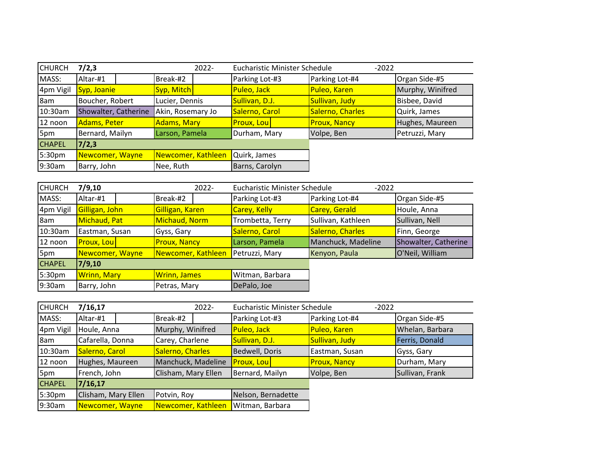| <b>CHURCH</b> | 7/2,3                | 2022-              | <b>Eucharistic Minister Schedule</b> | $-2022$             |                  |
|---------------|----------------------|--------------------|--------------------------------------|---------------------|------------------|
| MASS:         | Altar-#1             | Break-#2           | Parking Lot-#3                       | Parking Lot-#4      | Organ Side-#5    |
| 4pm Vigil     | Syp, Joanie          | Syp, Mitch         | Puleo, Jack                          | Puleo, Karen        | Murphy, Winifred |
| 8am           | Boucher, Robert      | Lucier, Dennis     | Sullivan, D.J.                       | Sullivan, Judy      | Bisbee, David    |
| 10:30am       | Showalter, Catherine | Akin, Rosemary Jo  | Salerno, Carol                       | Salerno, Charles    | Quirk, James     |
| 12 noon       | Adams, Peter         | <b>Adams, Mary</b> | <b>Proux, Lou</b>                    | <b>Proux, Nancy</b> | Hughes, Maureen  |
| 5pm           | Bernard, Mailyn      | Larson, Pamela     | Durham, Mary                         | Volpe, Ben          | Petruzzi, Mary   |
| <b>CHAPEL</b> | 7/2,3                |                    |                                      |                     |                  |
| 5:30pm        | Newcomer, Wayne      | Newcomer, Kathleen | Quirk, James                         |                     |                  |
| 9:30am        | Barry, John          | Nee, Ruth          | Barns, Carolyn                       |                     |                  |

| <b>CHURCH</b> | 7/9,10             | $2022 -$            | <b>Eucharistic Minister Schedule</b> | $-2022$            |                      |
|---------------|--------------------|---------------------|--------------------------------------|--------------------|----------------------|
| MASS:         | Altar-#1           | Break-#2            | Parking Lot-#3                       | Parking Lot-#4     | Organ Side-#5        |
| 4pm Vigil     | Gilligan, John     | Gilligan, Karen     | <b>Carey, Kelly</b>                  | Carey, Gerald      | Houle, Anna          |
| 8am           | Michaud, Pat       | Michaud, Norm       | Trombetta, Terry                     | Sullivan, Kathleen | Sullivan, Nell       |
| 10:30am       | Eastman, Susan     | Gyss, Gary          | Salerno, Carol                       | Salerno, Charles   | Finn, George         |
| 12 noon       | <b>Proux, Lou</b>  | <b>Proux, Nancy</b> | Larson, Pamela                       | Manchuck, Madeline | Showalter, Catherine |
| 5pm           | Newcomer, Wayne    | Newcomer, Kathleen  | Petruzzi, Mary                       | Kenyon, Paula      | O'Neil, William      |
| <b>CHAPEL</b> | 7/9,10             |                     |                                      |                    |                      |
| 5:30pm        | <b>Wrinn, Mary</b> | <b>Wrinn, James</b> | Witman, Barbara                      |                    |                      |
| 9:30am        | Barry, John        | Petras, Mary        | DePalo, Joe                          |                    |                      |

| <b>CHURCH</b> | 7/16,17             | 2022-               | <b>Eucharistic Minister Schedule</b> | $-2022$             |                 |
|---------------|---------------------|---------------------|--------------------------------------|---------------------|-----------------|
| MASS:         | Altar-#1            | Break-#2            | Parking Lot-#3                       | Parking Lot-#4      | Organ Side-#5   |
| 4pm Vigil     | Houle, Anna         | Murphy, Winifred    | Puleo, Jack                          | Puleo, Karen        | Whelan, Barbara |
| 8am           | Cafarella, Donna    | Carey, Charlene     | Sullivan, D.J.                       | Sullivan, Judy      | Ferris, Donald  |
| 10:30am       | Salerno, Carol      | Salerno, Charles    | Bedwell, Doris                       | Eastman, Susan      | Gyss, Gary      |
| 12 noon       | Hughes, Maureen     | Manchuck, Madeline  | <b>Proux, Lou</b>                    | <b>Proux, Nancy</b> | Durham, Mary    |
| 5pm           | French, John        | Clisham, Mary Ellen | Bernard, Mailyn                      | Volpe, Ben          | Sullivan, Frank |
| <b>CHAPEL</b> | 7/16, 17            |                     |                                      |                     |                 |
| 5:30pm        | Clisham, Mary Ellen | Potvin, Roy         | Nelson, Bernadette                   |                     |                 |
| 9:30am        | Newcomer, Wayne     | Newcomer, Kathleen  | Witman, Barbara                      |                     |                 |